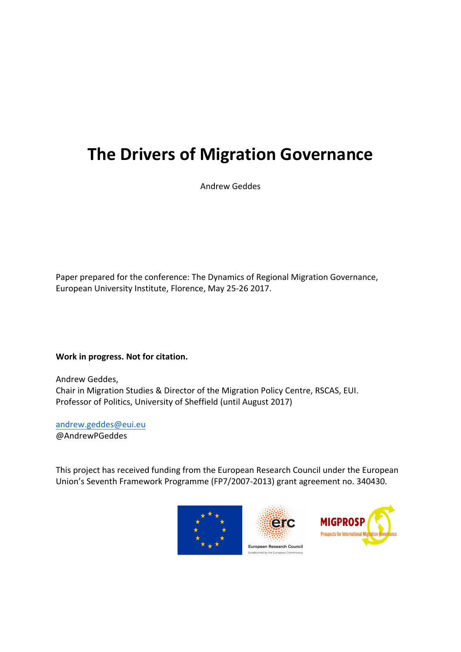# **The Drivers of Migration Governance**

Andrew Geddes

Paper prepared for the conference: The Dynamics of Regional Migration Governance, European University Institute, Florence, May 25-26 2017.

**Work in progress. Not for citation.** 

Andrew Geddes, Chair in Migration Studies & Director of the Migration Policy Centre, RSCAS, EUI. Professor of Politics, University of Sheffield (until August 2017)

andrew.geddes@eui.eu @AndrewPGeddes

This project has received funding from the European Research Council under the European Union's Seventh Framework Programme (FP7/2007-2013) grant agreement no. 340430.





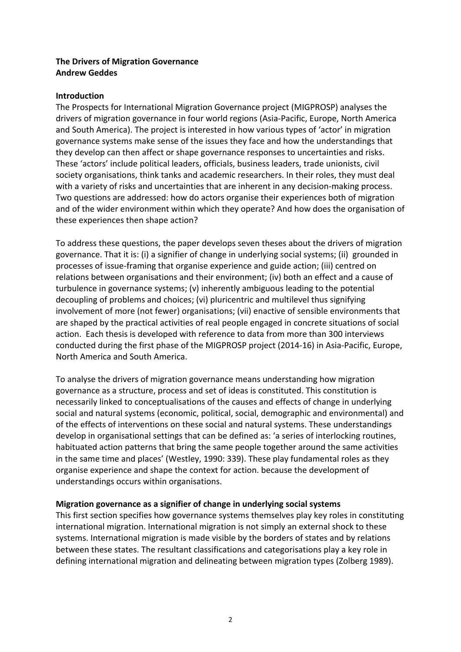## **The Drivers of Migration Governance Andrew Geddes**

#### **Introduction**

The Prospects for International Migration Governance project (MIGPROSP) analyses the drivers of migration governance in four world regions (Asia-Pacific, Europe, North America and South America). The project is interested in how various types of 'actor' in migration governance systems make sense of the issues they face and how the understandings that they develop can then affect or shape governance responses to uncertainties and risks. These 'actors' include political leaders, officials, business leaders, trade unionists, civil society organisations, think tanks and academic researchers. In their roles, they must deal with a variety of risks and uncertainties that are inherent in any decision-making process. Two questions are addressed: how do actors organise their experiences both of migration and of the wider environment within which they operate? And how does the organisation of these experiences then shape action?

To address these questions, the paper develops seven theses about the drivers of migration governance. That it is: (i) a signifier of change in underlying social systems; (ii) grounded in processes of issue-framing that organise experience and guide action; (iii) centred on relations between organisations and their environment; (iv) both an effect and a cause of turbulence in governance systems;  $(v)$  inherently ambiguous leading to the potential decoupling of problems and choices; (vi) pluricentric and multilevel thus signifying involvement of more (not fewer) organisations; (vii) enactive of sensible environments that are shaped by the practical activities of real people engaged in concrete situations of social action. Each thesis is developed with reference to data from more than 300 interviews conducted during the first phase of the MIGPROSP project (2014-16) in Asia-Pacific, Europe, North America and South America. 

To analyse the drivers of migration governance means understanding how migration governance as a structure, process and set of ideas is constituted. This constitution is necessarily linked to conceptualisations of the causes and effects of change in underlying social and natural systems (economic, political, social, demographic and environmental) and of the effects of interventions on these social and natural systems. These understandings develop in organisational settings that can be defined as: 'a series of interlocking routines, habituated action patterns that bring the same people together around the same activities in the same time and places' (Westley, 1990: 339). These play fundamental roles as they organise experience and shape the context for action. because the development of understandings occurs within organisations.

#### **Migration governance as a signifier of change in underlying social systems**

This first section specifies how governance systems themselves play key roles in constituting international migration. International migration is not simply an external shock to these systems. International migration is made visible by the borders of states and by relations between these states. The resultant classifications and categorisations play a key role in defining international migration and delineating between migration types (Zolberg 1989).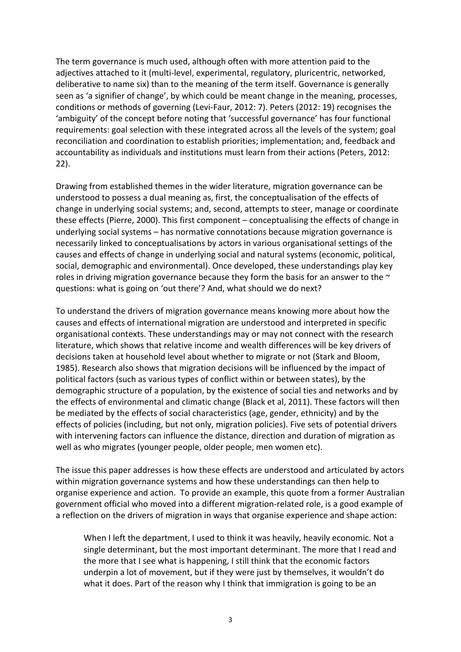The term governance is much used, although often with more attention paid to the adjectives attached to it (multi-level, experimental, regulatory, pluricentric, networked, deliberative to name six) than to the meaning of the term itself. Governance is generally seen as 'a signifier of change', by which could be meant change in the meaning, processes, conditions or methods of governing (Levi-Faur, 2012: 7). Peters (2012: 19) recognises the 'ambiguity' of the concept before noting that 'successful governance' has four functional requirements: goal selection with these integrated across all the levels of the system; goal reconciliation and coordination to establish priorities; implementation; and, feedback and accountability as individuals and institutions must learn from their actions (Peters, 2012: 22). 

Drawing from established themes in the wider literature, migration governance can be understood to possess a dual meaning as, first, the conceptualisation of the effects of change in underlying social systems; and, second, attempts to steer, manage or coordinate these effects (Pierre, 2000). This first component – conceptualising the effects of change in underlying social systems – has normative connotations because migration governance is necessarily linked to conceptualisations by actors in various organisational settings of the causes and effects of change in underlying social and natural systems (economic, political, social, demographic and environmental). Once developed, these understandings play key roles in driving migration governance because they form the basis for an answer to the  $\sim$ questions: what is going on 'out there'? And, what should we do next?

To understand the drivers of migration governance means knowing more about how the causes and effects of international migration are understood and interpreted in specific organisational contexts. These understandings may or may not connect with the research literature, which shows that relative income and wealth differences will be key drivers of decisions taken at household level about whether to migrate or not (Stark and Bloom, 1985). Research also shows that migration decisions will be influenced by the impact of political factors (such as various types of conflict within or between states), by the demographic structure of a population, by the existence of social ties and networks and by the effects of environmental and climatic change (Black et al, 2011). These factors will then be mediated by the effects of social characteristics (age, gender, ethnicity) and by the effects of policies (including, but not only, migration policies). Five sets of potential drivers with intervening factors can influence the distance, direction and duration of migration as well as who migrates (younger people, older people, men women etc).

The issue this paper addresses is how these effects are understood and articulated by actors within migration governance systems and how these understandings can then help to organise experience and action. To provide an example, this quote from a former Australian government official who moved into a different migration-related role, is a good example of a reflection on the drivers of migration in ways that organise experience and shape action:

When I left the department, I used to think it was heavily, heavily economic. Not a single determinant, but the most important determinant. The more that I read and the more that I see what is happening, I still think that the economic factors underpin a lot of movement, but if they were just by themselves, it wouldn't do what it does. Part of the reason why I think that immigration is going to be an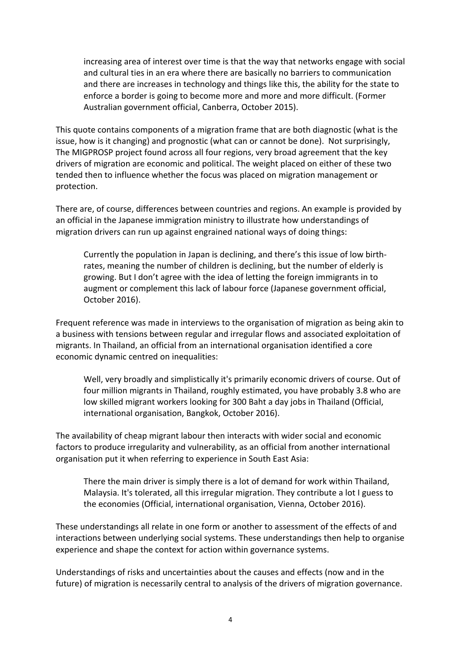increasing area of interest over time is that the way that networks engage with social and cultural ties in an era where there are basically no barriers to communication and there are increases in technology and things like this, the ability for the state to enforce a border is going to become more and more and more difficult. (Former Australian government official, Canberra, October 2015).

This quote contains components of a migration frame that are both diagnostic (what is the issue, how is it changing) and prognostic (what can or cannot be done). Not surprisingly, The MIGPROSP project found across all four regions, very broad agreement that the key drivers of migration are economic and political. The weight placed on either of these two tended then to influence whether the focus was placed on migration management or protection.

There are, of course, differences between countries and regions. An example is provided by an official in the Japanese immigration ministry to illustrate how understandings of migration drivers can run up against engrained national ways of doing things:

Currently the population in Japan is declining, and there's this issue of low birthrates, meaning the number of children is declining, but the number of elderly is growing. But I don't agree with the idea of letting the foreign immigrants in to augment or complement this lack of labour force (Japanese government official, October 2016).

Frequent reference was made in interviews to the organisation of migration as being akin to a business with tensions between regular and irregular flows and associated exploitation of migrants. In Thailand, an official from an international organisation identified a core economic dynamic centred on inequalities:

Well, very broadly and simplistically it's primarily economic drivers of course. Out of four million migrants in Thailand, roughly estimated, you have probably 3.8 who are low skilled migrant workers looking for 300 Baht a day jobs in Thailand (Official, international organisation, Bangkok, October 2016).

The availability of cheap migrant labour then interacts with wider social and economic factors to produce irregularity and vulnerability, as an official from another international organisation put it when referring to experience in South East Asia:

There the main driver is simply there is a lot of demand for work within Thailand, Malaysia. It's tolerated, all this irregular migration. They contribute a lot I guess to the economies (Official, international organisation, Vienna, October 2016).

These understandings all relate in one form or another to assessment of the effects of and interactions between underlying social systems. These understandings then help to organise experience and shape the context for action within governance systems.

Understandings of risks and uncertainties about the causes and effects (now and in the future) of migration is necessarily central to analysis of the drivers of migration governance.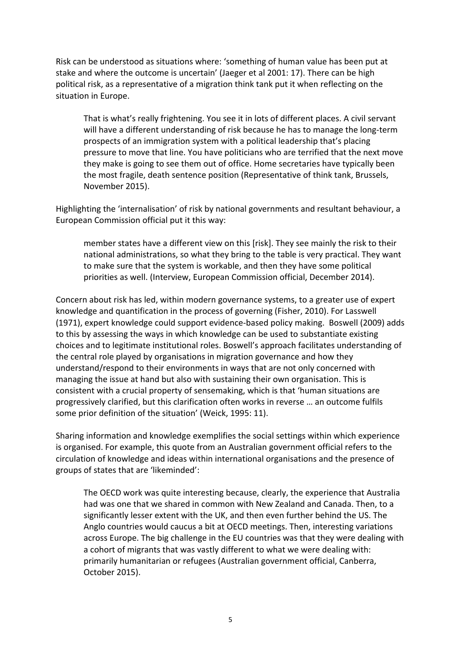Risk can be understood as situations where: 'something of human value has been put at stake and where the outcome is uncertain' (Jaeger et al 2001: 17). There can be high political risk, as a representative of a migration think tank put it when reflecting on the situation in Europe.

That is what's really frightening. You see it in lots of different places. A civil servant will have a different understanding of risk because he has to manage the long-term prospects of an immigration system with a political leadership that's placing pressure to move that line. You have politicians who are terrified that the next move they make is going to see them out of office. Home secretaries have typically been the most fragile, death sentence position (Representative of think tank, Brussels, November 2015). 

Highlighting the 'internalisation' of risk by national governments and resultant behaviour, a European Commission official put it this way:

member states have a different view on this [risk]. They see mainly the risk to their national administrations, so what they bring to the table is very practical. They want to make sure that the system is workable, and then they have some political priorities as well. (Interview, European Commission official, December 2014).

Concern about risk has led, within modern governance systems, to a greater use of expert knowledge and quantification in the process of governing (Fisher, 2010). For Lasswell (1971), expert knowledge could support evidence-based policy making. Boswell (2009) adds to this by assessing the ways in which knowledge can be used to substantiate existing choices and to legitimate institutional roles. Boswell's approach facilitates understanding of the central role played by organisations in migration governance and how they understand/respond to their environments in ways that are not only concerned with managing the issue at hand but also with sustaining their own organisation. This is consistent with a crucial property of sensemaking, which is that 'human situations are progressively clarified, but this clarification often works in reverse ... an outcome fulfils some prior definition of the situation' (Weick, 1995: 11).

Sharing information and knowledge exemplifies the social settings within which experience is organised. For example, this quote from an Australian government official refers to the circulation of knowledge and ideas within international organisations and the presence of groups of states that are 'likeminded':

The OECD work was quite interesting because, clearly, the experience that Australia had was one that we shared in common with New Zealand and Canada. Then, to a significantly lesser extent with the UK, and then even further behind the US. The Anglo countries would caucus a bit at OECD meetings. Then, interesting variations across Europe. The big challenge in the EU countries was that they were dealing with a cohort of migrants that was vastly different to what we were dealing with: primarily humanitarian or refugees (Australian government official, Canberra, October 2015).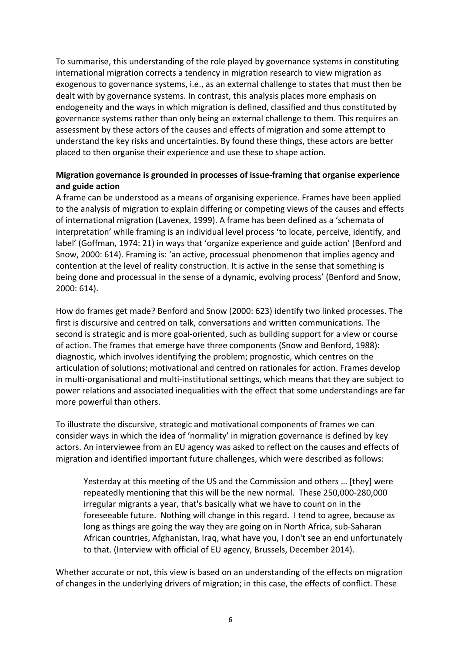To summarise, this understanding of the role played by governance systems in constituting international migration corrects a tendency in migration research to view migration as exogenous to governance systems, i.e., as an external challenge to states that must then be dealt with by governance systems. In contrast, this analysis places more emphasis on endogeneity and the ways in which migration is defined, classified and thus constituted by governance systems rather than only being an external challenge to them. This requires an assessment by these actors of the causes and effects of migration and some attempt to understand the key risks and uncertainties. By found these things, these actors are better placed to then organise their experience and use these to shape action.

## **Migration governance is grounded in processes of issue-framing that organise experience and guide action**

A frame can be understood as a means of organising experience. Frames have been applied to the analysis of migration to explain differing or competing views of the causes and effects of international migration (Lavenex, 1999). A frame has been defined as a 'schemata of interpretation' while framing is an individual level process 'to locate, perceive, identify, and label' (Goffman, 1974: 21) in ways that 'organize experience and guide action' (Benford and Snow, 2000: 614). Framing is: 'an active, processual phenomenon that implies agency and contention at the level of reality construction. It is active in the sense that something is being done and processual in the sense of a dynamic, evolving process' (Benford and Snow, 2000: 614).

How do frames get made? Benford and Snow (2000: 623) identify two linked processes. The first is discursive and centred on talk, conversations and written communications. The second is strategic and is more goal-oriented, such as building support for a view or course of action. The frames that emerge have three components (Snow and Benford, 1988): diagnostic, which involves identifying the problem; prognostic, which centres on the articulation of solutions; motivational and centred on rationales for action. Frames develop in multi-organisational and multi-institutional settings, which means that they are subject to power relations and associated inequalities with the effect that some understandings are far more powerful than others.

To illustrate the discursive, strategic and motivational components of frames we can consider ways in which the idea of 'normality' in migration governance is defined by key actors. An interviewee from an EU agency was asked to reflect on the causes and effects of migration and identified important future challenges, which were described as follows:

Yesterday at this meeting of the US and the Commission and others ... [they] were repeatedly mentioning that this will be the new normal. These 250,000-280,000 irregular migrants a year, that's basically what we have to count on in the foreseeable future. Nothing will change in this regard. I tend to agree, because as long as things are going the way they are going on in North Africa, sub-Saharan African countries, Afghanistan, Iraq, what have you, I don't see an end unfortunately to that. (Interview with official of EU agency, Brussels, December 2014).

Whether accurate or not, this view is based on an understanding of the effects on migration of changes in the underlying drivers of migration; in this case, the effects of conflict. These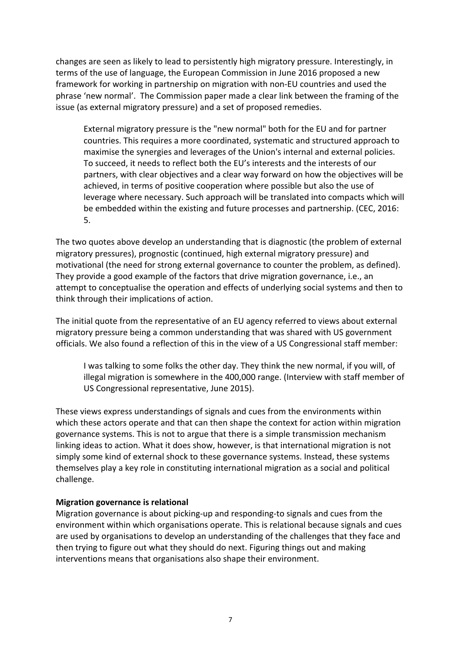changes are seen as likely to lead to persistently high migratory pressure. Interestingly, in terms of the use of language, the European Commission in June 2016 proposed a new framework for working in partnership on migration with non-EU countries and used the phrase 'new normal'. The Commission paper made a clear link between the framing of the issue (as external migratory pressure) and a set of proposed remedies.

External migratory pressure is the "new normal" both for the EU and for partner countries. This requires a more coordinated, systematic and structured approach to maximise the synergies and leverages of the Union's internal and external policies. To succeed, it needs to reflect both the EU's interests and the interests of our partners, with clear objectives and a clear way forward on how the objectives will be achieved, in terms of positive cooperation where possible but also the use of leverage where necessary. Such approach will be translated into compacts which will be embedded within the existing and future processes and partnership. (CEC, 2016: 5.

The two quotes above develop an understanding that is diagnostic (the problem of external migratory pressures), prognostic (continued, high external migratory pressure) and motivational (the need for strong external governance to counter the problem, as defined). They provide a good example of the factors that drive migration governance, i.e., an attempt to conceptualise the operation and effects of underlying social systems and then to think through their implications of action.

The initial quote from the representative of an EU agency referred to views about external migratory pressure being a common understanding that was shared with US government officials. We also found a reflection of this in the view of a US Congressional staff member:

I was talking to some folks the other day. They think the new normal, if you will, of illegal migration is somewhere in the 400,000 range. (Interview with staff member of US Congressional representative, June 2015).

These views express understandings of signals and cues from the environments within which these actors operate and that can then shape the context for action within migration governance systems. This is not to argue that there is a simple transmission mechanism linking ideas to action. What it does show, however, is that international migration is not simply some kind of external shock to these governance systems. Instead, these systems themselves play a key role in constituting international migration as a social and political challenge. 

#### **Migration governance is relational**

Migration governance is about picking-up and responding-to signals and cues from the environment within which organisations operate. This is relational because signals and cues are used by organisations to develop an understanding of the challenges that they face and then trying to figure out what they should do next. Figuring things out and making interventions means that organisations also shape their environment.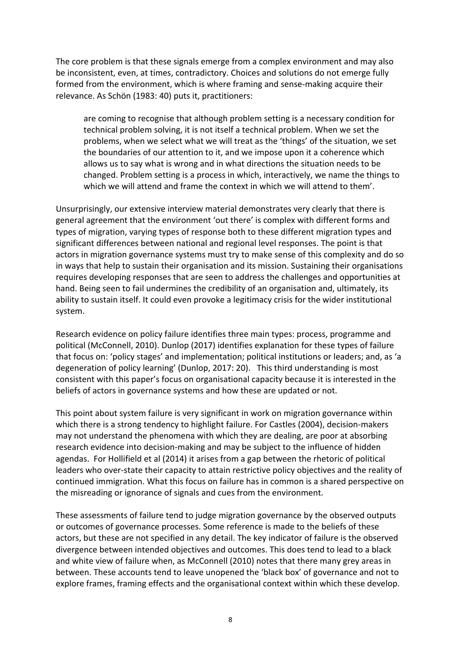The core problem is that these signals emerge from a complex environment and may also be inconsistent, even, at times, contradictory. Choices and solutions do not emerge fully formed from the environment, which is where framing and sense-making acquire their relevance. As Schön (1983: 40) puts it, practitioners:

are coming to recognise that although problem setting is a necessary condition for technical problem solving, it is not itself a technical problem. When we set the problems, when we select what we will treat as the 'things' of the situation, we set the boundaries of our attention to it, and we impose upon it a coherence which allows us to say what is wrong and in what directions the situation needs to be changed. Problem setting is a process in which, interactively, we name the things to which we will attend and frame the context in which we will attend to them'.

Unsurprisingly, our extensive interview material demonstrates very clearly that there is general agreement that the environment 'out there' is complex with different forms and types of migration, varying types of response both to these different migration types and significant differences between national and regional level responses. The point is that actors in migration governance systems must try to make sense of this complexity and do so in ways that help to sustain their organisation and its mission. Sustaining their organisations requires developing responses that are seen to address the challenges and opportunities at hand. Being seen to fail undermines the credibility of an organisation and, ultimately, its ability to sustain itself. It could even provoke a legitimacy crisis for the wider institutional system. 

Research evidence on policy failure identifies three main types: process, programme and political (McConnell, 2010). Dunlop (2017) identifies explanation for these types of failure that focus on: 'policy stages' and implementation; political institutions or leaders; and, as 'a degeneration of policy learning' (Dunlop, 2017: 20). This third understanding is most consistent with this paper's focus on organisational capacity because it is interested in the beliefs of actors in governance systems and how these are updated or not.

This point about system failure is very significant in work on migration governance within which there is a strong tendency to highlight failure. For Castles (2004), decision-makers may not understand the phenomena with which they are dealing, are poor at absorbing research evidence into decision-making and may be subject to the influence of hidden agendas. For Hollifield et al (2014) it arises from a gap between the rhetoric of political leaders who over-state their capacity to attain restrictive policy objectives and the reality of continued immigration. What this focus on failure has in common is a shared perspective on the misreading or ignorance of signals and cues from the environment.

These assessments of failure tend to judge migration governance by the observed outputs or outcomes of governance processes. Some reference is made to the beliefs of these actors, but these are not specified in any detail. The key indicator of failure is the observed divergence between intended objectives and outcomes. This does tend to lead to a black and white view of failure when, as McConnell (2010) notes that there many grey areas in between. These accounts tend to leave unopened the 'black box' of governance and not to explore frames, framing effects and the organisational context within which these develop.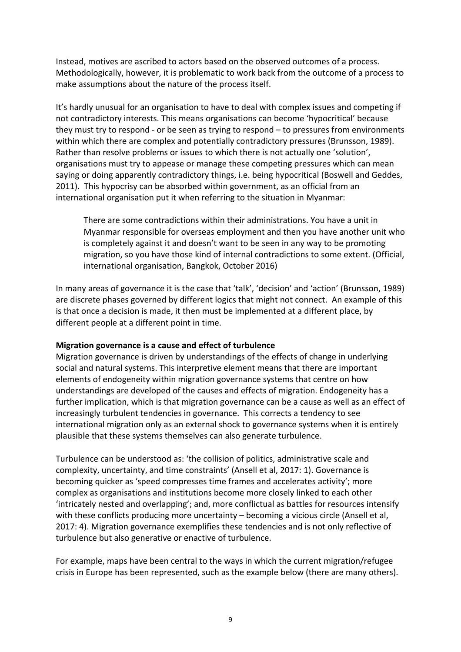Instead, motives are ascribed to actors based on the observed outcomes of a process. Methodologically, however, it is problematic to work back from the outcome of a process to make assumptions about the nature of the process itself.

It's hardly unusual for an organisation to have to deal with complex issues and competing if not contradictory interests. This means organisations can become 'hypocritical' because they must try to respond - or be seen as trying to respond – to pressures from environments within which there are complex and potentially contradictory pressures (Brunsson, 1989). Rather than resolve problems or issues to which there is not actually one 'solution', organisations must try to appease or manage these competing pressures which can mean saying or doing apparently contradictory things, i.e. being hypocritical (Boswell and Geddes, 2011). This hypocrisy can be absorbed within government, as an official from an international organisation put it when referring to the situation in Myanmar:

There are some contradictions within their administrations. You have a unit in Myanmar responsible for overseas employment and then you have another unit who is completely against it and doesn't want to be seen in any way to be promoting migration, so you have those kind of internal contradictions to some extent. (Official, international organisation, Bangkok, October 2016)

In many areas of governance it is the case that 'talk', 'decision' and 'action' (Brunsson, 1989) are discrete phases governed by different logics that might not connect. An example of this is that once a decision is made, it then must be implemented at a different place, by different people at a different point in time.

## **Migration governance is a cause and effect of turbulence**

Migration governance is driven by understandings of the effects of change in underlying social and natural systems. This interpretive element means that there are important elements of endogeneity within migration governance systems that centre on how understandings are developed of the causes and effects of migration. Endogeneity has a further implication, which is that migration governance can be a cause as well as an effect of increasingly turbulent tendencies in governance. This corrects a tendency to see international migration only as an external shock to governance systems when it is entirely plausible that these systems themselves can also generate turbulence.

Turbulence can be understood as: 'the collision of politics, administrative scale and complexity, uncertainty, and time constraints' (Ansell et al, 2017: 1). Governance is becoming quicker as 'speed compresses time frames and accelerates activity'; more complex as organisations and institutions become more closely linked to each other 'intricately nested and overlapping'; and, more conflictual as battles for resources intensify with these conflicts producing more uncertainty  $-$  becoming a vicious circle (Ansell et al, 2017: 4). Migration governance exemplifies these tendencies and is not only reflective of turbulence but also generative or enactive of turbulence.

For example, maps have been central to the ways in which the current migration/refugee crisis in Europe has been represented, such as the example below (there are many others).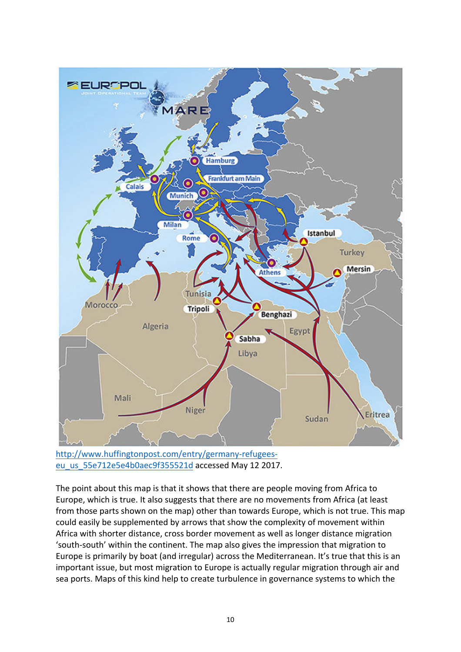

http://www.huffingtonpost.com/entry/germany-refugeeseu\_us\_55e712e5e4b0aec9f355521d accessed May 12 2017.

The point about this map is that it shows that there are people moving from Africa to Europe, which is true. It also suggests that there are no movements from Africa (at least from those parts shown on the map) other than towards Europe, which is not true. This map could easily be supplemented by arrows that show the complexity of movement within Africa with shorter distance, cross border movement as well as longer distance migration 'south-south' within the continent. The map also gives the impression that migration to Europe is primarily by boat (and irregular) across the Mediterranean. It's true that this is an important issue, but most migration to Europe is actually regular migration through air and sea ports. Maps of this kind help to create turbulence in governance systems to which the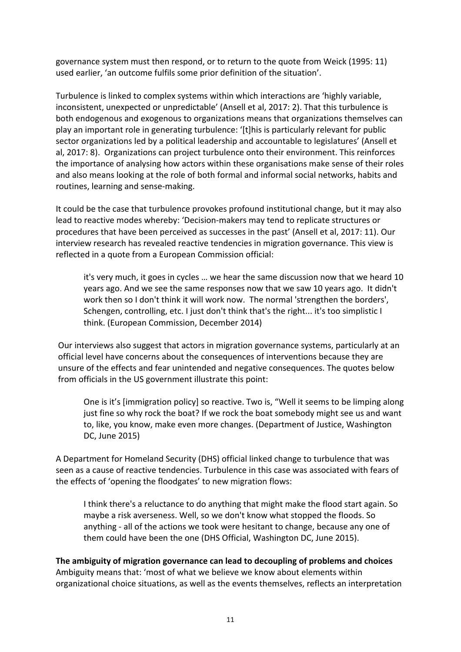governance system must then respond, or to return to the quote from Weick (1995: 11) used earlier, 'an outcome fulfils some prior definition of the situation'.

Turbulence is linked to complex systems within which interactions are 'highly variable, inconsistent, unexpected or unpredictable' (Ansell et al, 2017: 2). That this turbulence is both endogenous and exogenous to organizations means that organizations themselves can play an important role in generating turbulence: '[t]his is particularly relevant for public sector organizations led by a political leadership and accountable to legislatures' (Ansell et al, 2017: 8). Organizations can project turbulence onto their environment. This reinforces the importance of analysing how actors within these organisations make sense of their roles and also means looking at the role of both formal and informal social networks, habits and routines, learning and sense-making.

It could be the case that turbulence provokes profound institutional change, but it may also lead to reactive modes whereby: 'Decision-makers may tend to replicate structures or procedures that have been perceived as successes in the past' (Ansell et al, 2017: 11). Our interview research has revealed reactive tendencies in migration governance. This view is reflected in a quote from a European Commission official:

it's very much, it goes in cycles ... we hear the same discussion now that we heard 10 years ago. And we see the same responses now that we saw 10 years ago. It didn't work then so I don't think it will work now. The normal 'strengthen the borders', Schengen, controlling, etc. I just don't think that's the right... it's too simplistic I think. (European Commission, December 2014)

Our interviews also suggest that actors in migration governance systems, particularly at an official level have concerns about the consequences of interventions because they are unsure of the effects and fear unintended and negative consequences. The quotes below from officials in the US government illustrate this point:

One is it's [immigration policy] so reactive. Two is, "Well it seems to be limping along just fine so why rock the boat? If we rock the boat somebody might see us and want to, like, you know, make even more changes. (Department of Justice, Washington DC, June 2015)

A Department for Homeland Security (DHS) official linked change to turbulence that was seen as a cause of reactive tendencies. Turbulence in this case was associated with fears of the effects of 'opening the floodgates' to new migration flows:

I think there's a reluctance to do anything that might make the flood start again. So maybe a risk averseness. Well, so we don't know what stopped the floods. So anything - all of the actions we took were hesitant to change, because any one of them could have been the one (DHS Official, Washington DC, June 2015).

The ambiguity of migration governance can lead to decoupling of problems and choices Ambiguity means that: 'most of what we believe we know about elements within organizational choice situations, as well as the events themselves, reflects an interpretation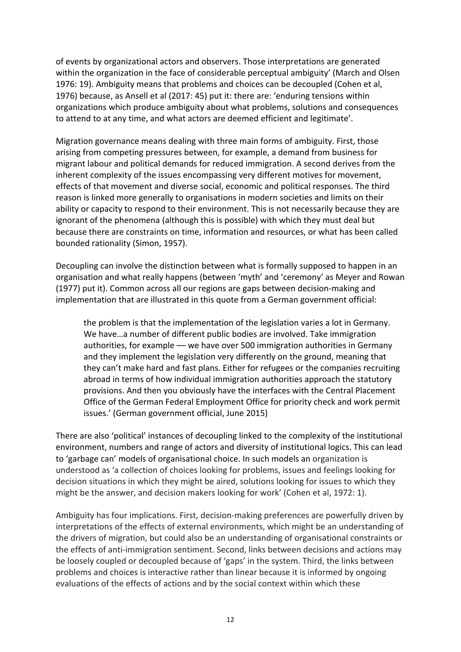of events by organizational actors and observers. Those interpretations are generated within the organization in the face of considerable perceptual ambiguity' (March and Olsen 1976: 19). Ambiguity means that problems and choices can be decoupled (Cohen et al, 1976) because, as Ansell et al (2017: 45) put it: there are: 'enduring tensions within organizations which produce ambiguity about what problems, solutions and consequences to attend to at any time, and what actors are deemed efficient and legitimate'.

Migration governance means dealing with three main forms of ambiguity. First, those arising from competing pressures between, for example, a demand from business for migrant labour and political demands for reduced immigration. A second derives from the inherent complexity of the issues encompassing very different motives for movement, effects of that movement and diverse social, economic and political responses. The third reason is linked more generally to organisations in modern societies and limits on their ability or capacity to respond to their environment. This is not necessarily because they are ignorant of the phenomena (although this is possible) with which they must deal but because there are constraints on time, information and resources, or what has been called bounded rationality (Simon, 1957).

Decoupling can involve the distinction between what is formally supposed to happen in an organisation and what really happens (between 'myth' and 'ceremony' as Meyer and Rowan (1977) put it). Common across all our regions are gaps between decision-making and implementation that are illustrated in this quote from a German government official:

the problem is that the implementation of the legislation varies a lot in Germany. We have...a number of different public bodies are involved. Take immigration authorities, for example - we have over 500 immigration authorities in Germany and they implement the legislation very differently on the ground, meaning that they can't make hard and fast plans. Either for refugees or the companies recruiting abroad in terms of how individual immigration authorities approach the statutory provisions. And then you obviously have the interfaces with the Central Placement Office of the German Federal Employment Office for priority check and work permit issues.' (German government official, June 2015)

There are also 'political' instances of decoupling linked to the complexity of the institutional environment, numbers and range of actors and diversity of institutional logics. This can lead to 'garbage can' models of organisational choice. In such models an organization is understood as 'a collection of choices looking for problems, issues and feelings looking for decision situations in which they might be aired, solutions looking for issues to which they might be the answer, and decision makers looking for work' (Cohen et al, 1972: 1).

Ambiguity has four implications. First, decision-making preferences are powerfully driven by interpretations of the effects of external environments, which might be an understanding of the drivers of migration, but could also be an understanding of organisational constraints or the effects of anti-immigration sentiment. Second, links between decisions and actions may be loosely coupled or decoupled because of 'gaps' in the system. Third, the links between problems and choices is interactive rather than linear because it is informed by ongoing evaluations of the effects of actions and by the social context within which these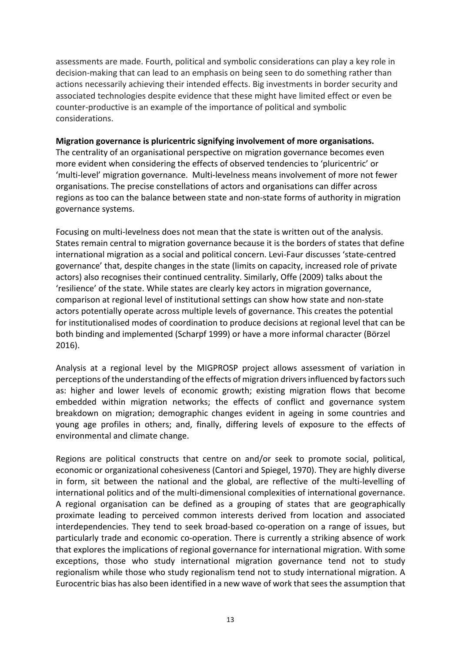assessments are made. Fourth, political and symbolic considerations can play a key role in decision-making that can lead to an emphasis on being seen to do something rather than actions necessarily achieving their intended effects. Big investments in border security and associated technologies despite evidence that these might have limited effect or even be counter-productive is an example of the importance of political and symbolic considerations. 

#### **Migration governance is pluricentric signifying involvement of more organisations.**

The centrality of an organisational perspective on migration governance becomes even more evident when considering the effects of observed tendencies to 'pluricentric' or 'multi-level' migration governance. Multi-levelness means involvement of more not fewer organisations. The precise constellations of actors and organisations can differ across regions as too can the balance between state and non-state forms of authority in migration governance systems.

Focusing on multi-levelness does not mean that the state is written out of the analysis. States remain central to migration governance because it is the borders of states that define international migration as a social and political concern. Levi-Faur discusses 'state-centred governance' that, despite changes in the state (limits on capacity, increased role of private actors) also recognises their continued centrality. Similarly, Offe (2009) talks about the 'resilience' of the state. While states are clearly key actors in migration governance, comparison at regional level of institutional settings can show how state and non-state actors potentially operate across multiple levels of governance. This creates the potential for institutionalised modes of coordination to produce decisions at regional level that can be both binding and implemented (Scharpf 1999) or have a more informal character (Börzel 2016).

Analysis at a regional level by the MIGPROSP project allows assessment of variation in perceptions of the understanding of the effects of migration drivers influenced by factors such as: higher and lower levels of economic growth; existing migration flows that become embedded within migration networks; the effects of conflict and governance system breakdown on migration; demographic changes evident in ageing in some countries and young age profiles in others; and, finally, differing levels of exposure to the effects of environmental and climate change.

Regions are political constructs that centre on and/or seek to promote social, political, economic or organizational cohesiveness (Cantori and Spiegel, 1970). They are highly diverse in form, sit between the national and the global, are reflective of the multi-levelling of international politics and of the multi-dimensional complexities of international governance. A regional organisation can be defined as a grouping of states that are geographically proximate leading to perceived common interests derived from location and associated interdependencies. They tend to seek broad-based co-operation on a range of issues, but particularly trade and economic co-operation. There is currently a striking absence of work that explores the implications of regional governance for international migration. With some exceptions, those who study international migration governance tend not to study regionalism while those who study regionalism tend not to study international migration. A Eurocentric bias has also been identified in a new wave of work that sees the assumption that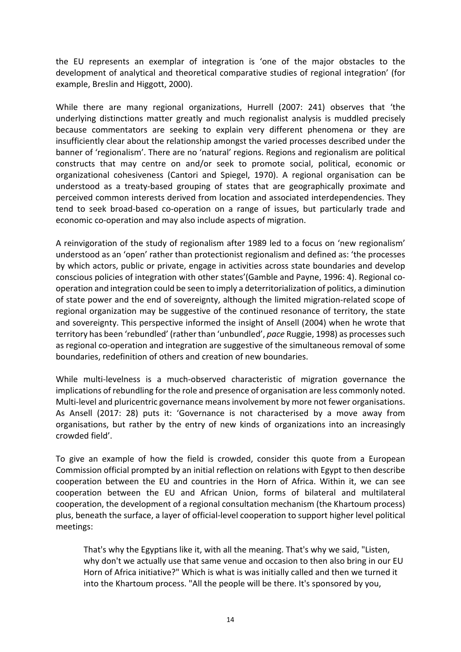the EU represents an exemplar of integration is 'one of the major obstacles to the development of analytical and theoretical comparative studies of regional integration' (for example, Breslin and Higgott, 2000).

While there are many regional organizations, Hurrell (2007: 241) observes that 'the underlying distinctions matter greatly and much regionalist analysis is muddled precisely because commentators are seeking to explain very different phenomena or they are insufficiently clear about the relationship amongst the varied processes described under the banner of 'regionalism'. There are no 'natural' regions. Regions and regionalism are political constructs that may centre on and/or seek to promote social, political, economic or organizational cohesiveness (Cantori and Spiegel, 1970). A regional organisation can be understood as a treaty-based grouping of states that are geographically proximate and perceived common interests derived from location and associated interdependencies. They tend to seek broad-based co-operation on a range of issues, but particularly trade and economic co-operation and may also include aspects of migration.

A reinvigoration of the study of regionalism after 1989 led to a focus on 'new regionalism' understood as an 'open' rather than protectionist regionalism and defined as: 'the processes by which actors, public or private, engage in activities across state boundaries and develop conscious policies of integration with other states'(Gamble and Payne, 1996: 4). Regional cooperation and integration could be seen to imply a deterritorialization of politics, a diminution of state power and the end of sovereignty, although the limited migration-related scope of regional organization may be suggestive of the continued resonance of territory, the state and sovereignty. This perspective informed the insight of Ansell (2004) when he wrote that territory has been 'rebundled' (rather than 'unbundled', pace Ruggie, 1998) as processes such as regional co-operation and integration are suggestive of the simultaneous removal of some boundaries, redefinition of others and creation of new boundaries.

While multi-levelness is a much-observed characteristic of migration governance the implications of rebundling for the role and presence of organisation are less commonly noted. Multi-level and pluricentric governance means involvement by more not fewer organisations. As Ansell (2017: 28) puts it: 'Governance is not characterised by a move away from organisations, but rather by the entry of new kinds of organizations into an increasingly crowded field'.

To give an example of how the field is crowded, consider this quote from a European Commission official prompted by an initial reflection on relations with Egypt to then describe cooperation between the EU and countries in the Horn of Africa. Within it, we can see cooperation between the EU and African Union, forms of bilateral and multilateral cooperation, the development of a regional consultation mechanism (the Khartoum process) plus, beneath the surface, a layer of official-level cooperation to support higher level political meetings:

That's why the Egyptians like it, with all the meaning. That's why we said, "Listen, why don't we actually use that same venue and occasion to then also bring in our EU Horn of Africa initiative?" Which is what is was initially called and then we turned it into the Khartoum process. "All the people will be there. It's sponsored by you,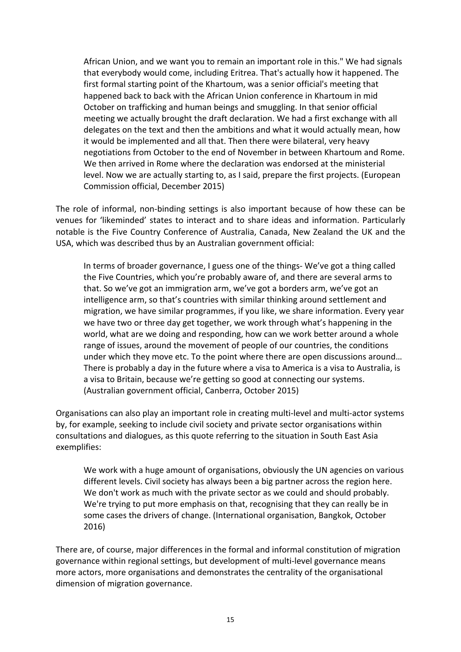African Union, and we want you to remain an important role in this." We had signals that everybody would come, including Eritrea. That's actually how it happened. The first formal starting point of the Khartoum, was a senior official's meeting that happened back to back with the African Union conference in Khartoum in mid October on trafficking and human beings and smuggling. In that senior official meeting we actually brought the draft declaration. We had a first exchange with all delegates on the text and then the ambitions and what it would actually mean, how it would be implemented and all that. Then there were bilateral, very heavy negotiations from October to the end of November in between Khartoum and Rome. We then arrived in Rome where the declaration was endorsed at the ministerial level. Now we are actually starting to, as I said, prepare the first projects. (European Commission official, December 2015)

The role of informal, non-binding settings is also important because of how these can be venues for 'likeminded' states to interact and to share ideas and information. Particularly notable is the Five Country Conference of Australia, Canada, New Zealand the UK and the USA, which was described thus by an Australian government official:

In terms of broader governance, I guess one of the things- We've got a thing called the Five Countries, which you're probably aware of, and there are several arms to that. So we've got an immigration arm, we've got a borders arm, we've got an intelligence arm, so that's countries with similar thinking around settlement and migration, we have similar programmes, if you like, we share information. Every year we have two or three day get together, we work through what's happening in the world, what are we doing and responding, how can we work better around a whole range of issues, around the movement of people of our countries, the conditions under which they move etc. To the point where there are open discussions around... There is probably a day in the future where a visa to America is a visa to Australia, is a visa to Britain, because we're getting so good at connecting our systems. (Australian government official, Canberra, October 2015)

Organisations can also play an important role in creating multi-level and multi-actor systems by, for example, seeking to include civil society and private sector organisations within consultations and dialogues, as this quote referring to the situation in South East Asia exemplifies:

We work with a huge amount of organisations, obviously the UN agencies on various different levels. Civil society has always been a big partner across the region here. We don't work as much with the private sector as we could and should probably. We're trying to put more emphasis on that, recognising that they can really be in some cases the drivers of change. (International organisation, Bangkok, October 2016)

There are, of course, major differences in the formal and informal constitution of migration governance within regional settings, but development of multi-level governance means more actors, more organisations and demonstrates the centrality of the organisational dimension of migration governance.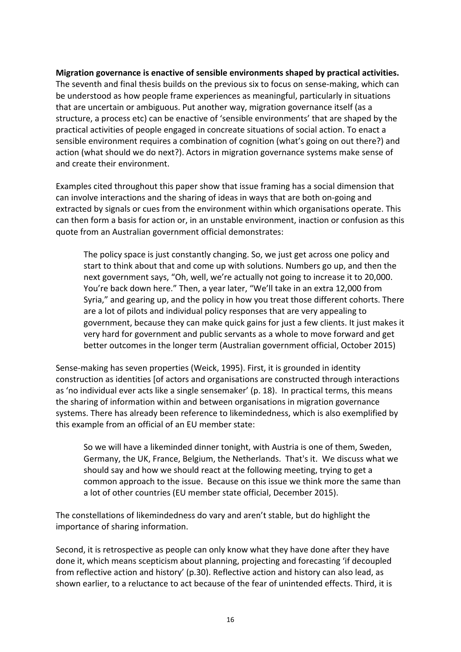### **Migration governance is enactive of sensible environments shaped by practical activities.**

The seventh and final thesis builds on the previous six to focus on sense-making, which can be understood as how people frame experiences as meaningful, particularly in situations that are uncertain or ambiguous. Put another way, migration governance itself (as a structure, a process etc) can be enactive of 'sensible environments' that are shaped by the practical activities of people engaged in concreate situations of social action. To enact a sensible environment requires a combination of cognition (what's going on out there?) and action (what should we do next?). Actors in migration governance systems make sense of and create their environment.

Examples cited throughout this paper show that issue framing has a social dimension that can involve interactions and the sharing of ideas in ways that are both on-going and extracted by signals or cues from the environment within which organisations operate. This can then form a basis for action or, in an unstable environment, inaction or confusion as this quote from an Australian government official demonstrates:

The policy space is just constantly changing. So, we just get across one policy and start to think about that and come up with solutions. Numbers go up, and then the next government says, "Oh, well, we're actually not going to increase it to 20,000. You're back down here." Then, a year later, "We'll take in an extra 12,000 from Syria," and gearing up, and the policy in how you treat those different cohorts. There are a lot of pilots and individual policy responses that are very appealing to government, because they can make quick gains for just a few clients. It just makes it very hard for government and public servants as a whole to move forward and get better outcomes in the longer term (Australian government official, October 2015)

Sense-making has seven properties (Weick, 1995). First, it is grounded in identity construction as identities [of actors and organisations are constructed through interactions as 'no individual ever acts like a single sensemaker' (p. 18). In practical terms, this means the sharing of information within and between organisations in migration governance systems. There has already been reference to likemindedness, which is also exemplified by this example from an official of an EU member state:

So we will have a likeminded dinner tonight, with Austria is one of them, Sweden, Germany, the UK, France, Belgium, the Netherlands. That's it. We discuss what we should say and how we should react at the following meeting, trying to get a common approach to the issue. Because on this issue we think more the same than a lot of other countries (EU member state official, December 2015).

The constellations of likemindedness do vary and aren't stable, but do highlight the importance of sharing information.

Second, it is retrospective as people can only know what they have done after they have done it, which means scepticism about planning, projecting and forecasting 'if decoupled from reflective action and history' (p.30). Reflective action and history can also lead, as shown earlier, to a reluctance to act because of the fear of unintended effects. Third, it is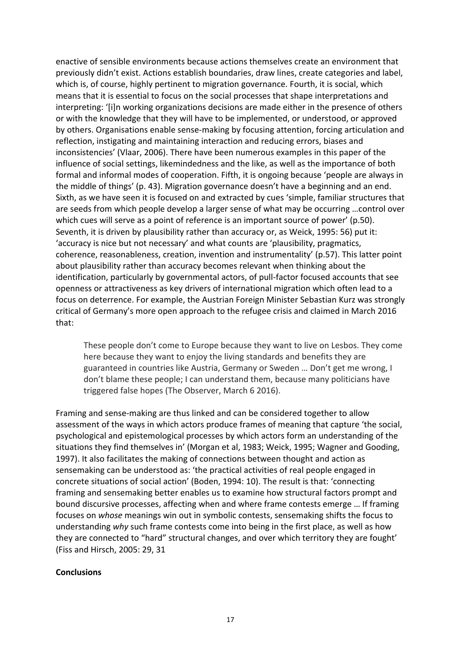enactive of sensible environments because actions themselves create an environment that previously didn't exist. Actions establish boundaries, draw lines, create categories and label, which is, of course, highly pertinent to migration governance. Fourth, it is social, which means that it is essential to focus on the social processes that shape interpretations and interpreting: '[i]n working organizations decisions are made either in the presence of others or with the knowledge that they will have to be implemented, or understood, or approved by others. Organisations enable sense-making by focusing attention, forcing articulation and reflection, instigating and maintaining interaction and reducing errors, biases and inconsistencies' (Vlaar, 2006). There have been numerous examples in this paper of the influence of social settings, likemindedness and the like, as well as the importance of both formal and informal modes of cooperation. Fifth, it is ongoing because 'people are always in the middle of things' (p. 43). Migration governance doesn't have a beginning and an end. Sixth, as we have seen it is focused on and extracted by cues 'simple, familiar structures that are seeds from which people develop a larger sense of what may be occurring ...control over which cues will serve as a point of reference is an important source of power' (p.50). Seventh, it is driven by plausibility rather than accuracy or, as Weick, 1995: 56) put it: 'accuracy is nice but not necessary' and what counts are 'plausibility, pragmatics, coherence, reasonableness, creation, invention and instrumentality' (p.57). This latter point about plausibility rather than accuracy becomes relevant when thinking about the identification, particularly by governmental actors, of pull-factor focused accounts that see openness or attractiveness as key drivers of international migration which often lead to a focus on deterrence. For example, the Austrian Foreign Minister Sebastian Kurz was strongly critical of Germany's more open approach to the refugee crisis and claimed in March 2016 that:

These people don't come to Europe because they want to live on Lesbos. They come here because they want to enjoy the living standards and benefits they are guaranteed in countries like Austria, Germany or Sweden ... Don't get me wrong, I don't blame these people; I can understand them, because many politicians have triggered false hopes (The Observer, March 6 2016).

Framing and sense-making are thus linked and can be considered together to allow assessment of the ways in which actors produce frames of meaning that capture 'the social, psychological and epistemological processes by which actors form an understanding of the situations they find themselves in' (Morgan et al, 1983; Weick, 1995; Wagner and Gooding, 1997). It also facilitates the making of connections between thought and action as sensemaking can be understood as: 'the practical activities of real people engaged in concrete situations of social action' (Boden, 1994: 10). The result is that: 'connecting framing and sensemaking better enables us to examine how structural factors prompt and bound discursive processes, affecting when and where frame contests emerge ... If framing focuses on *whose* meanings win out in symbolic contests, sensemaking shifts the focus to understanding why such frame contests come into being in the first place, as well as how they are connected to "hard" structural changes, and over which territory they are fought' (Fiss and Hirsch, 2005: 29, 31)

#### **Conclusions**